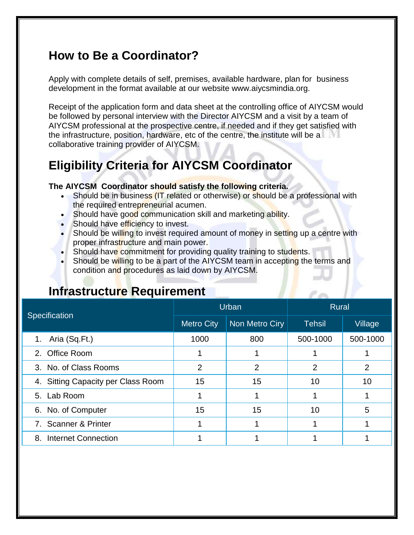## **How to Be a Coordinator?**

Apply with complete details of self, premises, available hardware, plan for business development in the format available at our website www.aiycsmindia.org.

Receipt of the application form and data sheet at the controlling office of AIYCSM would be followed by personal interview with the Director AIYCSM and a visit by a team of AIYCSM professional at the prospective centre, if needed and if they get satisfied with the infrastructure, position, hardware, etc of the centre, the institute will be a collaborative training provider of AIYCSM.

# **Eligibility Criteria for AIYCSM Coordinator**

#### **The AIYCSM Coordinator should satisfy the following criteria.**

- Should be in business (IT related or otherwise) or should be a professional with the required entrepreneurial acumen.
- Should have good communication skill and marketing ability.
- Should have efficiency to invest.
- Should be willing to invest required amount of money in setting up a centre with proper infrastructure and main power.
- Should have commitment for providing quality training to students.
- Should be willing to be a part of the AIYCSM team in accepting the terms and condition and procedures as laid down by AIYCSM.

## **Infrastructure Requirement**

| <b>Specification</b>               | Urban             |                | <b>Rural</b>   |                |
|------------------------------------|-------------------|----------------|----------------|----------------|
|                                    | <b>Metro City</b> | Non Metro Ciry | <b>Tehsil</b>  | Village        |
| 1. Aria (Sq.Ft.)                   | 1000              | 800            | 500-1000       | 500-1000       |
| 2. Office Room                     |                   |                |                |                |
| 3. No. of Class Rooms              | $\overline{2}$    | 2              | $\overline{2}$ | $\overline{2}$ |
| 4. Sitting Capacity per Class Room | 15                | 15             | 10             | 10             |
| 5. Lab Room                        |                   |                |                |                |
| 6. No. of Computer                 | 15                | 15             | 10             | 5              |
| 7. Scanner & Printer               |                   |                |                |                |
| 8. Internet Connection             |                   |                |                |                |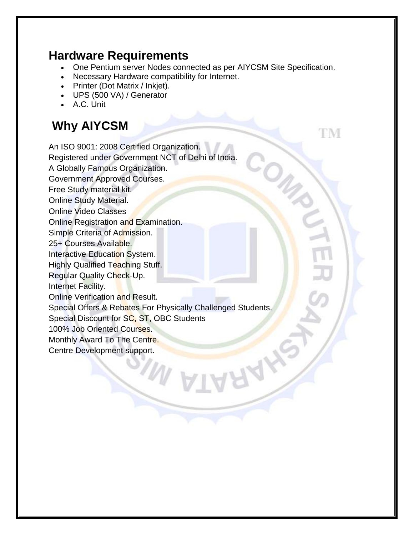#### **Hardware Requirements**

- One Pentium server Nodes connected as per AIYCSM Site Specification.
- Necessary Hardware compatibility for Internet.
- Printer (Dot Matrix / Inkjet).
- UPS (500 VA) / Generator
- A.C. Unit

# **Why AIYCSM**

ГM

An ISO 9001: 2008 Certified Organization. Registered under Government NCT of Delhi of India. A Globally Famous Organization. Government Approved Courses. Free Study material kit. Online Study Material. Online Video Classes Online Registration and Examination. Simple Criteria of Admission. 25+ Courses Available. Interactive Education System. Highly Qualified Teaching Stuff. Regular Quality Check-Up. Internet Facility. Online Verification and Result. Special Offers & Rebates For Physically Challenged Students. Special Discount for SC, ST, OBC Students 100% Job Oriented Courses. Monthly Award To The Centre. Centre Development support.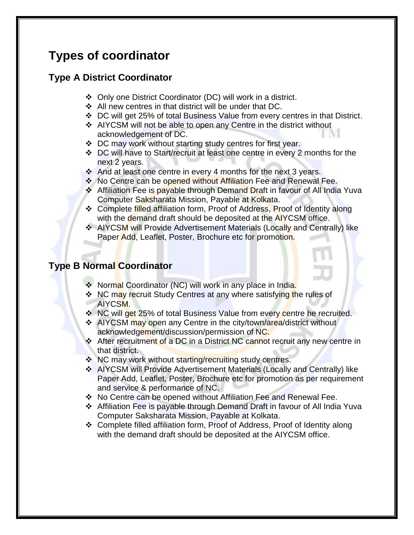# **Types of coordinator**

#### **Type A District Coordinator**

- Only one District Coordinator (DC) will work in a district.
- ❖ All new centres in that district will be under that DC.
- DC will get 25% of total Business Value from every centres in that District.
- AIYCSM will not be able to open any Centre in the district without acknowledgement of DC.
- ◆ DC may work without starting study centres for first year.
- DC will have to Start/recruit at least one centre in every 2 months for the next 2 years.
- $\cdot$  And at least one centre in every 4 months for the next 3 years.
- \* No Centre can be opened without Affiliation Fee and Renewal Fee.
- **↑ Affiliation Fee is payable through Demand Draft in favour of All India Yuva** Computer Saksharata Mission, Payable at Kolkata.
- ❖ Complete filled affiliation form, Proof of Address, Proof of Identity along with the demand draft should be deposited at the AIYCSM office.
- AIYCSM will Provide Advertisement Materials (Locally and Centrally) like Paper Add, Leaflet, Poster, Brochure etc for promotion.

#### **Type B Normal Coordinator**

- **\*** Normal Coordinator (NC) will work in any place in India.
- NC may recruit Study Centres at any where satisfying the rules of AIYCSM.
- **EXAC Will get 25% of total Business Value from every centre he recruited.**
- **↑ AIYCSM may open any Centre in the city/town/area/district without** acknowledgement/discussion/permission of NC.
- **Extermal After recruitment of a DC in a District NC cannot recruit any new centre in** that district.
- $\cdot$  NC may work without starting/recruiting study centres.
- AIYCSM will Provide Advertisement Materials (Locally and Centrally) like Paper Add, Leaflet, Poster, Brochure etc for promotion as per requirement and service & performance of NC.
- No Centre can be opened without Affiliation Fee and Renewal Fee.
- Affiliation Fee is payable through Demand Draft in favour of All India Yuva Computer Saksharata Mission, Payable at Kolkata.
- Complete filled affiliation form, Proof of Address, Proof of Identity along with the demand draft should be deposited at the AIYCSM office.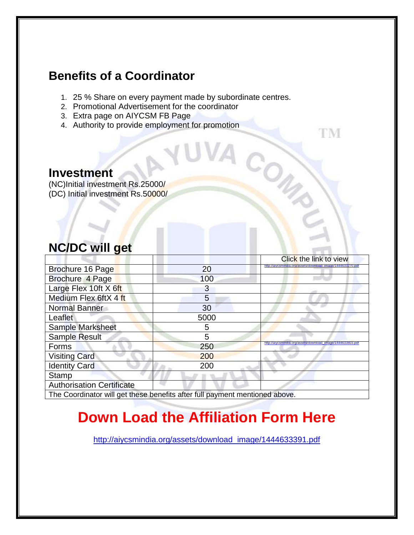## **Benefits of a Coordinator**

1. 25 % Share on every payment made by subordinate centres.

TM

CON

- 2. Promotional Advertisement for the coordinator
- 3. Extra page on AIYCSM FB Page
- 4. Authority to provide employment for promotion

#### **Investment**

(NC)Initial investment Rs.25000/ (DC) Initial investment Rs.50000/

## **NC/DC will get**

|                                                                             |      | Click the link to view                                        |
|-----------------------------------------------------------------------------|------|---------------------------------------------------------------|
| Brochure 16 Page                                                            | 20   | http://aivcsmindia.org/assets/download_image/14446332/0.pdf   |
| Brochure 4 Page                                                             | 100  |                                                               |
| Large Flex 10ft X 6ft                                                       | 3    |                                                               |
| Medium Flex 6ftX 4 ft                                                       | 5    |                                                               |
| <b>Normal Banner</b>                                                        | 30   |                                                               |
| Leaflet                                                                     | 5000 |                                                               |
| Sample Marksheet                                                            | 5    |                                                               |
| <b>Sample Result</b>                                                        | 5    |                                                               |
| Forms                                                                       | 250  | image/1444633803.pd<br>http://aivcsmindia.org/assets/download |
| <b>Visiting Card</b>                                                        | 200  |                                                               |
| <b>Identity Card</b>                                                        | 200  |                                                               |
| Stamp                                                                       |      |                                                               |
| <b>Authorisation Certificate</b>                                            |      |                                                               |
| The Coordinator will get these benefits after full payment mentioned above. |      |                                                               |

# **Down Load the Affiliation Form Here**

[http://aiycsmindia.org/assets/download\\_image/1444633391.pdf](http://aiycsmindia.org/assets/download_image/1444633391.pdf)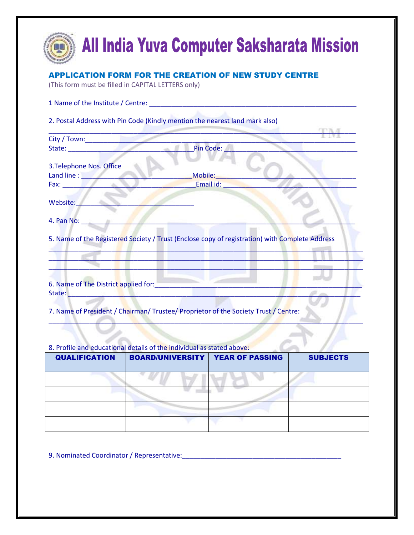| (This form must be filled in CAPITAL LETTERS only) | <b>APPLICATION FORM FOR THE CREATION OF NEW STUDY CENTRE</b>                                   |
|----------------------------------------------------|------------------------------------------------------------------------------------------------|
|                                                    | 1 Name of the Institute / Centre: Name of the Institute of Centre:                             |
|                                                    | 2. Postal Address with Pin Code (Kindly mention the nearest land mark also)                    |
|                                                    |                                                                                                |
|                                                    | Pin Code:                                                                                      |
| 3. Telephone Nos. Office                           |                                                                                                |
|                                                    | Mobile:                                                                                        |
|                                                    | Email id:                                                                                      |
| Website:                                           |                                                                                                |
| 4. Pan No:                                         |                                                                                                |
|                                                    | 5. Name of the Registered Society / Trust (Enclose copy of registration) with Complete Address |
|                                                    |                                                                                                |
| 6. Name of The District applied for:               |                                                                                                |

#### 8. Profile and educational details of the individual as stated above:

| <b>QUALIFICATION</b> | <b>BOARD/UNIVERSITY</b> | <b>YEAR OF PASSING</b> | <b>SUBJECTS</b> |
|----------------------|-------------------------|------------------------|-----------------|
|                      |                         |                        |                 |
|                      |                         |                        |                 |
|                      |                         |                        |                 |
|                      |                         |                        |                 |

9. Nominated Coordinator / Representative:\_\_\_\_\_\_\_\_\_\_\_\_\_\_\_\_\_\_\_\_\_\_\_\_\_\_\_\_\_\_\_\_\_\_\_\_\_\_\_\_\_\_\_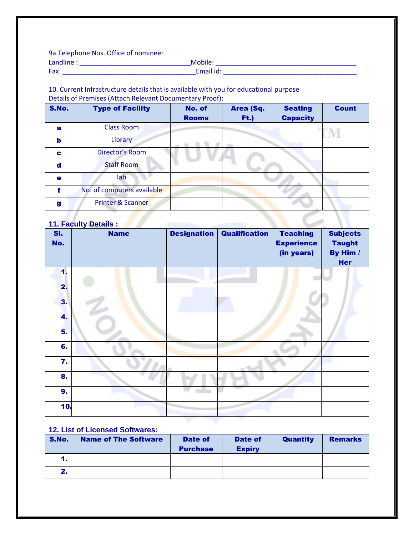9a.Telephone Nos. Office of nominee:

| l anr |                                                         |
|-------|---------------------------------------------------------|
| Fax:  | $\mathbf{r}$ and $\mathbf{r}$ and $\mathbf{r}$<br>Luran |

#### 10. Current Infrastructure details that is available with you for educational purpose Details of Premises (Attach Relevant Documentary Proof):

| S.No.       | <b>Type of Facility</b>      | No. of<br><b>Rooms</b> | Area (Sq.<br>F(t.) | <b>Seating</b><br><b>Capacity</b> | <b>Count</b> |
|-------------|------------------------------|------------------------|--------------------|-----------------------------------|--------------|
| $\mathbf a$ | <b>Class Room</b>            |                        |                    |                                   |              |
| b           | Library                      |                        |                    |                                   |              |
| C           | Director's Room              |                        |                    |                                   |              |
| $\mathbf d$ | <b>Staff Room</b>            |                        |                    |                                   |              |
| $\bullet$   | lab                          |                        |                    |                                   |              |
| f           | No. of computers available   |                        |                    |                                   |              |
| g           | <b>Printer &amp; Scanner</b> |                        |                    |                                   |              |
|             | <b>11. Faculty Details:</b>  |                        |                    |                                   |              |

| SI.<br>No. | <b>Name</b> | <b>Designation</b> | <b>Qualification</b> | <b>Teaching</b><br><b>Experience</b><br>(in years) | <b>Subjects</b><br><b>Taught</b><br>By Him /<br><b>Her</b> |
|------------|-------------|--------------------|----------------------|----------------------------------------------------|------------------------------------------------------------|
| 1.         |             |                    |                      |                                                    |                                                            |
| 2.         |             |                    |                      |                                                    |                                                            |
| 3.         |             |                    |                      |                                                    |                                                            |
| 4.         |             |                    |                      |                                                    |                                                            |
| 5.         |             |                    |                      |                                                    |                                                            |
| 6.         |             |                    |                      |                                                    |                                                            |
| 7.         |             |                    |                      |                                                    |                                                            |
| 8.         |             |                    |                      |                                                    |                                                            |
| 9.         |             |                    |                      |                                                    |                                                            |
| 10.        |             |                    |                      |                                                    |                                                            |

#### **12. List of Licensed Softwares:**

| S.No. | <b>Name of The Software</b> | Date of<br><b>Purchase</b> | Date of<br><b>Expiry</b> | <b>Quantity</b> | <b>Remarks</b> |
|-------|-----------------------------|----------------------------|--------------------------|-----------------|----------------|
| 1.    |                             |                            |                          |                 |                |
| 2.    |                             |                            |                          |                 |                |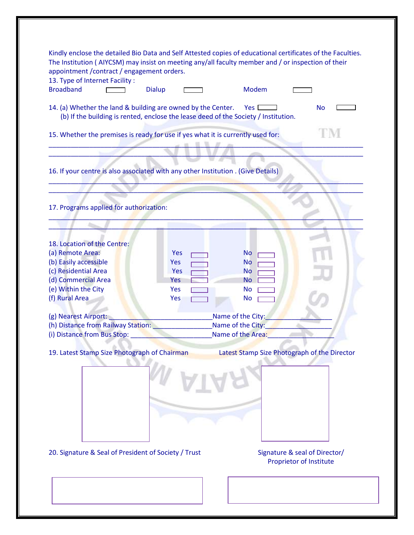| Kindly enclose the detailed Bio Data and Self Attested copies of educational certificates of the Faculties.<br>The Institution (AIYCSM) may insist on meeting any/all faculty member and / or inspection of their<br>appointment / contract / engagement orders.<br>13. Type of Internet Facility:<br><b>Broadband</b><br>Modem<br><b>Dialup</b> |
|--------------------------------------------------------------------------------------------------------------------------------------------------------------------------------------------------------------------------------------------------------------------------------------------------------------------------------------------------|
| 14. (a) Whether the land & building are owned by the Center.<br>Yes [<br><b>No</b><br>(b) If the building is rented, enclose the lease deed of the Society / Institution.                                                                                                                                                                        |
| 15. Whether the premises is ready for use if yes what it is currently used for:                                                                                                                                                                                                                                                                  |
| 16. If your centre is also associated with any other Institution . (Give Details)                                                                                                                                                                                                                                                                |
|                                                                                                                                                                                                                                                                                                                                                  |
| 17. Programs applied for authorization:                                                                                                                                                                                                                                                                                                          |
|                                                                                                                                                                                                                                                                                                                                                  |
|                                                                                                                                                                                                                                                                                                                                                  |
| 18. Location of the Centre:                                                                                                                                                                                                                                                                                                                      |
| (a) Remote Area:<br>Yes<br><b>No</b>                                                                                                                                                                                                                                                                                                             |
| (b) Easily accessible<br><b>Yes</b><br><b>No</b>                                                                                                                                                                                                                                                                                                 |
| (c) Residential Area<br><b>Yes</b><br>No.                                                                                                                                                                                                                                                                                                        |
| (d) Commercial Area<br>Yes<br><b>No</b>                                                                                                                                                                                                                                                                                                          |
| (e) Within the City<br>Yes<br><b>No</b>                                                                                                                                                                                                                                                                                                          |
| (f) Rural Area<br>Yes<br><b>No</b>                                                                                                                                                                                                                                                                                                               |
|                                                                                                                                                                                                                                                                                                                                                  |
| Name of the City:<br>(g) Nearest Airport:                                                                                                                                                                                                                                                                                                        |
| (h) Distance from Railway Station:<br>Name of the City:                                                                                                                                                                                                                                                                                          |
| Name of the Area:<br>(i) Distance from Bus Stop:                                                                                                                                                                                                                                                                                                 |
|                                                                                                                                                                                                                                                                                                                                                  |
| 19. Latest Stamp Size Photograph of Chairman<br>Latest Stamp Size Photograph of the Director                                                                                                                                                                                                                                                     |
|                                                                                                                                                                                                                                                                                                                                                  |
|                                                                                                                                                                                                                                                                                                                                                  |
|                                                                                                                                                                                                                                                                                                                                                  |
|                                                                                                                                                                                                                                                                                                                                                  |
| 20. Signature & Seal of President of Society / Trust<br>Signature & seal of Director/<br><b>Proprietor of Institute</b>                                                                                                                                                                                                                          |
|                                                                                                                                                                                                                                                                                                                                                  |
|                                                                                                                                                                                                                                                                                                                                                  |
|                                                                                                                                                                                                                                                                                                                                                  |
|                                                                                                                                                                                                                                                                                                                                                  |
|                                                                                                                                                                                                                                                                                                                                                  |